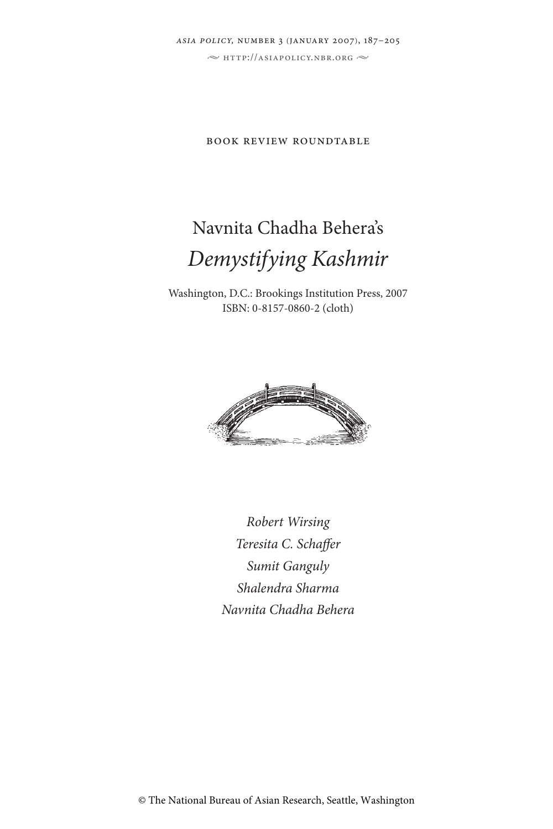book review roundtable

# Navnita Chadha Behera's *Demystifying Kashmir*

Washington, D.C.: Brookings Institution Press, 2007 ISBN: 0-8157-0860-2 (cloth)



*Robert Wirsing Teresita C. Schaffer Sumit Ganguly Shalendra Sharma Navnita Chadha Behera*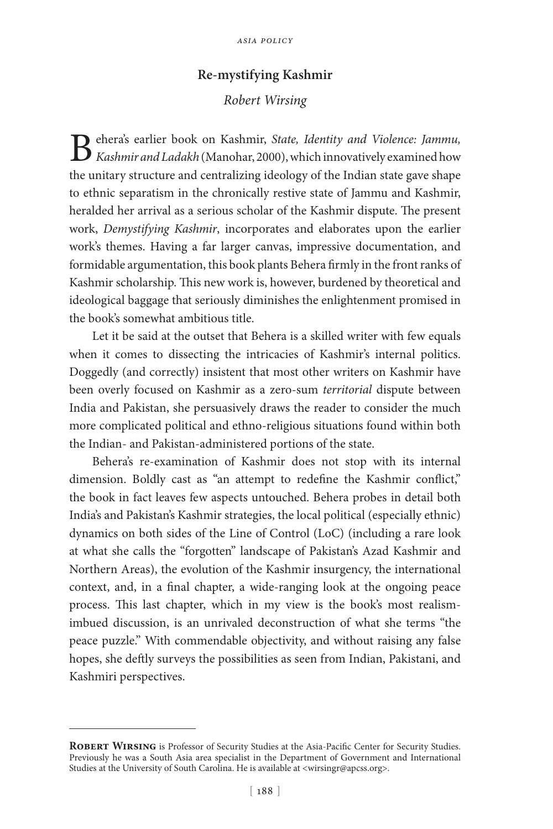## **Re-mystifying Kashmir**

*Robert Wirsing*

**B** ehera's earlier book on Kashmir, *State, Identity and Violence: Jammu, Kashmir and Ladakh* (Manohar, 2000), which innovatively examined how the unitary structure and centralizing ideology of the Indian state gave shape to ethnic separatism in the chronically restive state of Jammu and Kashmir, heralded her arrival as a serious scholar of the Kashmir dispute. The present work, *Demystifying Kashmir*, incorporates and elaborates upon the earlier work's themes. Having a far larger canvas, impressive documentation, and formidable argumentation, this book plants Behera firmly in the front ranks of Kashmir scholarship. This new work is, however, burdened by theoretical and ideological baggage that seriously diminishes the enlightenment promised in the book's somewhat ambitious title.

Let it be said at the outset that Behera is a skilled writer with few equals when it comes to dissecting the intricacies of Kashmir's internal politics. Doggedly (and correctly) insistent that most other writers on Kashmir have been overly focused on Kashmir as a zero-sum *territorial* dispute between India and Pakistan, she persuasively draws the reader to consider the much more complicated political and ethno-religious situations found within both the Indian- and Pakistan-administered portions of the state.

Behera's re-examination of Kashmir does not stop with its internal dimension. Boldly cast as "an attempt to redefine the Kashmir conflict," the book in fact leaves few aspects untouched. Behera probes in detail both India's and Pakistan's Kashmir strategies, the local political (especially ethnic) dynamics on both sides of the Line of Control (LoC) (including a rare look at what she calls the "forgotten" landscape of Pakistan's Azad Kashmir and Northern Areas), the evolution of the Kashmir insurgency, the international context, and, in a final chapter, a wide-ranging look at the ongoing peace process. This last chapter, which in my view is the book's most realismimbued discussion, is an unrivaled deconstruction of what she terms "the peace puzzle." With commendable objectivity, and without raising any false hopes, she deftly surveys the possibilities as seen from Indian, Pakistani, and Kashmiri perspectives.

**Robert Wirsing** is Professor of Security Studies at the Asia-Pacific Center for Security Studies. Previously he was a South Asia area specialist in the Department of Government and International Studies at the University of South Carolina. He is available at <wirsingr@apcss.org>.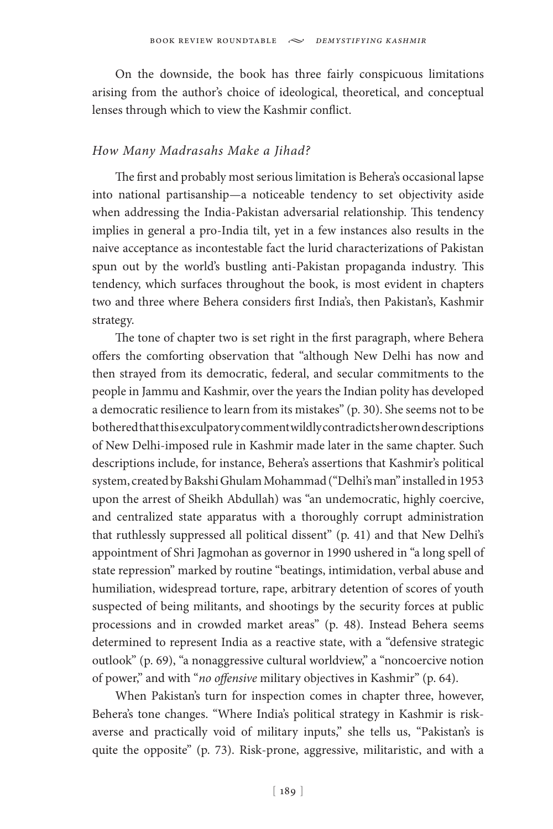On the downside, the book has three fairly conspicuous limitations arising from the author's choice of ideological, theoretical, and conceptual lenses through which to view the Kashmir conflict.

#### *How Many Madrasahs Make a Jihad?*

The first and probably most serious limitation is Behera's occasional lapse into national partisanship—a noticeable tendency to set objectivity aside when addressing the India-Pakistan adversarial relationship. This tendency implies in general a pro-India tilt, yet in a few instances also results in the naive acceptance as incontestable fact the lurid characterizations of Pakistan spun out by the world's bustling anti-Pakistan propaganda industry. This tendency, which surfaces throughout the book, is most evident in chapters two and three where Behera considers first India's, then Pakistan's, Kashmir strategy.

The tone of chapter two is set right in the first paragraph, where Behera offers the comforting observation that "although New Delhi has now and then strayed from its democratic, federal, and secular commitments to the people in Jammu and Kashmir, over the years the Indian polity has developed a democratic resilience to learn from its mistakes" (p. 30). She seems not to be bothered that this exculpatory comment wildly contradicts her own descriptions of New Delhi-imposed rule in Kashmir made later in the same chapter. Such descriptions include, for instance, Behera's assertions that Kashmir's political system, created by Bakshi Ghulam Mohammad ("Delhi's man" installed in 1953 upon the arrest of Sheikh Abdullah) was "an undemocratic, highly coercive, and centralized state apparatus with a thoroughly corrupt administration that ruthlessly suppressed all political dissent" (p. 41) and that New Delhi's appointment of Shri Jagmohan as governor in 1990 ushered in "a long spell of state repression" marked by routine "beatings, intimidation, verbal abuse and humiliation, widespread torture, rape, arbitrary detention of scores of youth suspected of being militants, and shootings by the security forces at public processions and in crowded market areas" (p. 48). Instead Behera seems determined to represent India as a reactive state, with a "defensive strategic outlook" (p. 69), "a nonaggressive cultural worldview," a "noncoercive notion of power," and with "*no offensive* military objectives in Kashmir" (p. 64).

When Pakistan's turn for inspection comes in chapter three, however, Behera's tone changes. "Where India's political strategy in Kashmir is riskaverse and practically void of military inputs," she tells us, "Pakistan's is quite the opposite" (p. 73). Risk-prone, aggressive, militaristic, and with a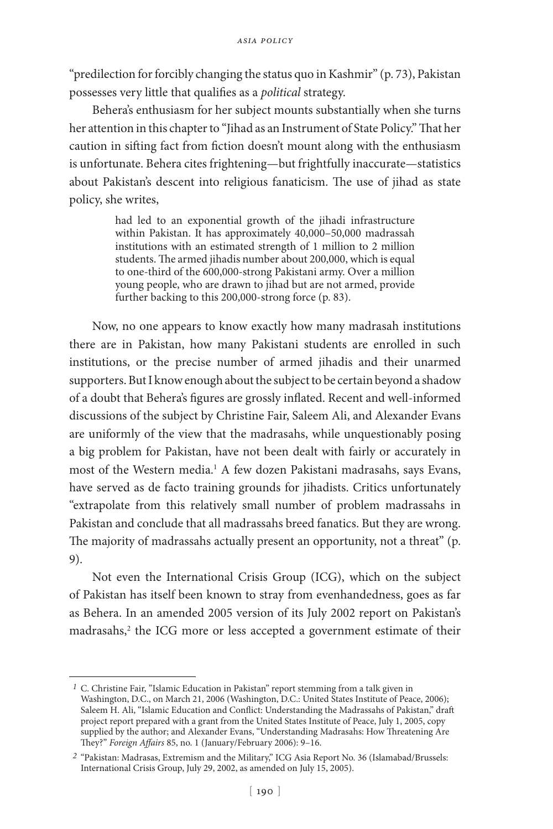"predilection for forcibly changing the status quo in Kashmir" (p. 73), Pakistan possesses very little that qualifies as a *political* strategy.

Behera's enthusiasm for her subject mounts substantially when she turns her attention in this chapter to "Jihad as an Instrument of State Policy." That her caution in sifting fact from fiction doesn't mount along with the enthusiasm is unfortunate. Behera cites frightening—but frightfully inaccurate—statistics about Pakistan's descent into religious fanaticism. The use of jihad as state policy, she writes,

> had led to an exponential growth of the jihadi infrastructure within Pakistan. It has approximately 40,000–50,000 madrassah institutions with an estimated strength of 1 million to 2 million students. The armed jihadis number about 200,000, which is equal to one-third of the 600,000-strong Pakistani army. Over a million young people, who are drawn to jihad but are not armed, provide further backing to this 200,000-strong force (p. 83).

Now, no one appears to know exactly how many madrasah institutions there are in Pakistan, how many Pakistani students are enrolled in such institutions, or the precise number of armed jihadis and their unarmed supporters. But I know enough about the subject to be certain beyond a shadow of a doubt that Behera's figures are grossly inflated. Recent and well-informed discussions of the subject by Christine Fair, Saleem Ali, and Alexander Evans are uniformly of the view that the madrasahs, while unquestionably posing a big problem for Pakistan, have not been dealt with fairly or accurately in most of the Western media.1 A few dozen Pakistani madrasahs, says Evans, have served as de facto training grounds for jihadists. Critics unfortunately "extrapolate from this relatively small number of problem madrassahs in Pakistan and conclude that all madrassahs breed fanatics. But they are wrong. The majority of madrassahs actually present an opportunity, not a threat" (p. 9).

Not even the International Crisis Group (ICG), which on the subject of Pakistan has itself been known to stray from evenhandedness, goes as far as Behera. In an amended 2005 version of its July 2002 report on Pakistan's madrasahs,<sup>2</sup> the ICG more or less accepted a government estimate of their

 $<sup>1</sup>$  C. Christine Fair, "Islamic Education in Pakistan" report stemming from a talk given in</sup> Washington, D.C., on March 21, 2006 (Washington, D.C.: United States Institute of Peace, 2006); Saleem H. Ali, "Islamic Education and Conflict: Understanding the Madrassahs of Pakistan," draft project report prepared with a grant from the United States Institute of Peace, July 1, 2005, copy supplied by the author; and Alexander Evans, "Understanding Madrasahs: How Threatening Are They?" *Foreign Affairs* 85, no. 1 (January/February 2006): 9–16.

<sup>&</sup>lt;sup>2</sup> "Pakistan: Madrasas, Extremism and the Military," ICG Asia Report No. 36 (Islamabad/Brussels: International Crisis Group, July 29, 2002, as amended on July 15, 2005).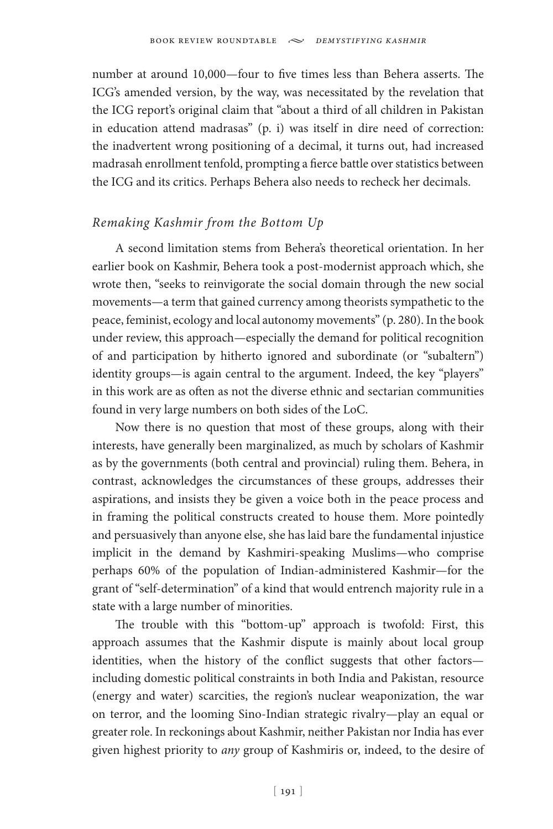number at around 10,000—four to five times less than Behera asserts. The ICG's amended version, by the way, was necessitated by the revelation that the ICG report's original claim that "about a third of all children in Pakistan in education attend madrasas" (p. i) was itself in dire need of correction: the inadvertent wrong positioning of a decimal, it turns out, had increased madrasah enrollment tenfold, prompting a fierce battle over statistics between the ICG and its critics. Perhaps Behera also needs to recheck her decimals.

#### *Remaking Kashmir from the Bottom Up*

A second limitation stems from Behera's theoretical orientation. In her earlier book on Kashmir, Behera took a post-modernist approach which, she wrote then, "seeks to reinvigorate the social domain through the new social movements—a term that gained currency among theorists sympathetic to the peace, feminist, ecology and local autonomy movements" (p. 280). In the book under review, this approach—especially the demand for political recognition of and participation by hitherto ignored and subordinate (or "subaltern") identity groups—is again central to the argument. Indeed, the key "players" in this work are as often as not the diverse ethnic and sectarian communities found in very large numbers on both sides of the LoC.

Now there is no question that most of these groups, along with their interests, have generally been marginalized, as much by scholars of Kashmir as by the governments (both central and provincial) ruling them. Behera, in contrast, acknowledges the circumstances of these groups, addresses their aspirations, and insists they be given a voice both in the peace process and in framing the political constructs created to house them. More pointedly and persuasively than anyone else, she has laid bare the fundamental injustice implicit in the demand by Kashmiri-speaking Muslims—who comprise perhaps 60% of the population of Indian-administered Kashmir—for the grant of "self-determination" of a kind that would entrench majority rule in a state with a large number of minorities.

The trouble with this "bottom-up" approach is twofold: First, this approach assumes that the Kashmir dispute is mainly about local group identities, when the history of the conflict suggests that other factors including domestic political constraints in both India and Pakistan, resource (energy and water) scarcities, the region's nuclear weaponization, the war on terror, and the looming Sino-Indian strategic rivalry—play an equal or greater role. In reckonings about Kashmir, neither Pakistan nor India has ever given highest priority to *any* group of Kashmiris or, indeed, to the desire of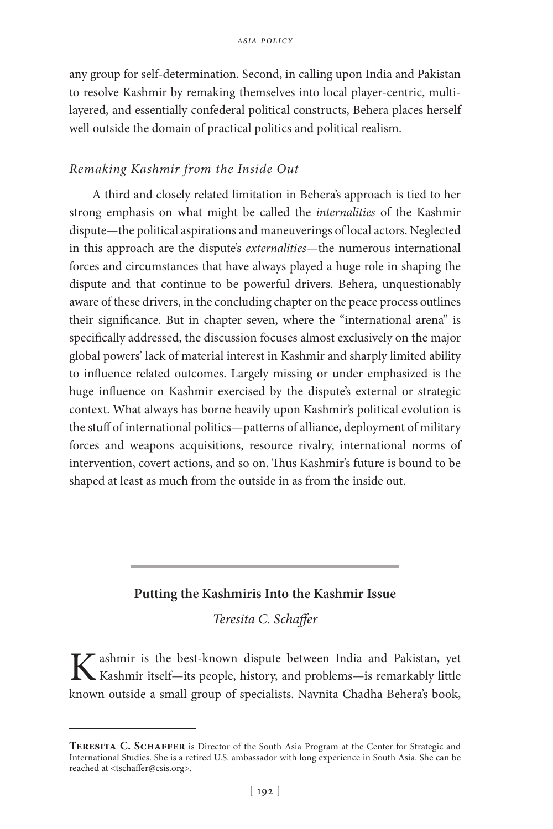any group for self-determination. Second, in calling upon India and Pakistan to resolve Kashmir by remaking themselves into local player-centric, multilayered, and essentially confederal political constructs, Behera places herself well outside the domain of practical politics and political realism.

# *Remaking Kashmir from the Inside Out*

A third and closely related limitation in Behera's approach is tied to her strong emphasis on what might be called the *internalities* of the Kashmir dispute—the political aspirations and maneuverings of local actors. Neglected in this approach are the dispute's *externalities*—the numerous international forces and circumstances that have always played a huge role in shaping the dispute and that continue to be powerful drivers. Behera, unquestionably aware of these drivers, in the concluding chapter on the peace process outlines their significance. But in chapter seven, where the "international arena" is specifically addressed, the discussion focuses almost exclusively on the major global powers' lack of material interest in Kashmir and sharply limited ability to influence related outcomes. Largely missing or under emphasized is the huge influence on Kashmir exercised by the dispute's external or strategic context. What always has borne heavily upon Kashmir's political evolution is the stuff of international politics—patterns of alliance, deployment of military forces and weapons acquisitions, resource rivalry, international norms of intervention, covert actions, and so on. Thus Kashmir's future is bound to be shaped at least as much from the outside in as from the inside out.

# **Putting the Kashmiris Into the Kashmir Issue**

*Teresita C. Schaffer*

Kashmir is the best-known dispute between India and Pakistan, yet Kashmir itself—its people, history, and problems—is remarkably little known outside a small group of specialists. Navnita Chadha Behera's book,

**Teresita C. Schaffer** is Director of the South Asia Program at the Center for Strategic and International Studies. She is a retired U.S. ambassador with long experience in South Asia. She can be reached at <tschaffer@csis.org>.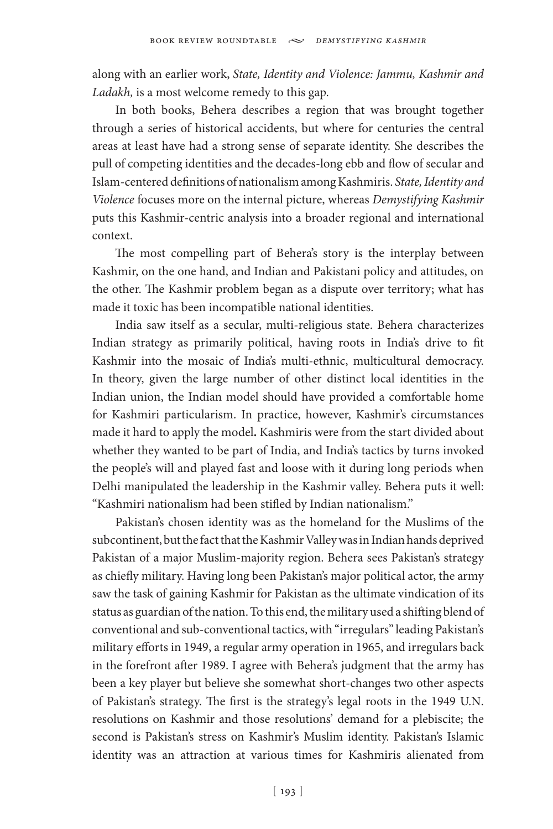along with an earlier work, *State, Identity and Violence: Jammu, Kashmir and Ladakh,* is a most welcome remedy to this gap.

In both books, Behera describes a region that was brought together through a series of historical accidents, but where for centuries the central areas at least have had a strong sense of separate identity. She describes the pull of competing identities and the decades-long ebb and flow of secular and Islam-centered definitions of nationalism among Kashmiris. *State, Identity and Violence* focuses more on the internal picture, whereas *Demystifying Kashmir* puts this Kashmir-centric analysis into a broader regional and international context.

The most compelling part of Behera's story is the interplay between Kashmir, on the one hand, and Indian and Pakistani policy and attitudes, on the other. The Kashmir problem began as a dispute over territory; what has made it toxic has been incompatible national identities.

India saw itself as a secular, multi-religious state. Behera characterizes Indian strategy as primarily political, having roots in India's drive to fit Kashmir into the mosaic of India's multi-ethnic, multicultural democracy. In theory, given the large number of other distinct local identities in the Indian union, the Indian model should have provided a comfortable home for Kashmiri particularism. In practice, however, Kashmir's circumstances made it hard to apply the model**.** Kashmiris were from the start divided about whether they wanted to be part of India, and India's tactics by turns invoked the people's will and played fast and loose with it during long periods when Delhi manipulated the leadership in the Kashmir valley. Behera puts it well: "Kashmiri nationalism had been stifled by Indian nationalism."

Pakistan's chosen identity was as the homeland for the Muslims of the subcontinent, but the fact that the Kashmir Valley was in Indian hands deprived Pakistan of a major Muslim-majority region. Behera sees Pakistan's strategy as chiefly military. Having long been Pakistan's major political actor, the army saw the task of gaining Kashmir for Pakistan as the ultimate vindication of its status as guardian of the nation. To this end, the military used a shifting blend of conventional and sub-conventional tactics, with "irregulars" leading Pakistan's military efforts in 1949, a regular army operation in 1965, and irregulars back in the forefront after 1989. I agree with Behera's judgment that the army has been a key player but believe she somewhat short-changes two other aspects of Pakistan's strategy. The first is the strategy's legal roots in the 1949 U.N. resolutions on Kashmir and those resolutions' demand for a plebiscite; the second is Pakistan's stress on Kashmir's Muslim identity. Pakistan's Islamic identity was an attraction at various times for Kashmiris alienated from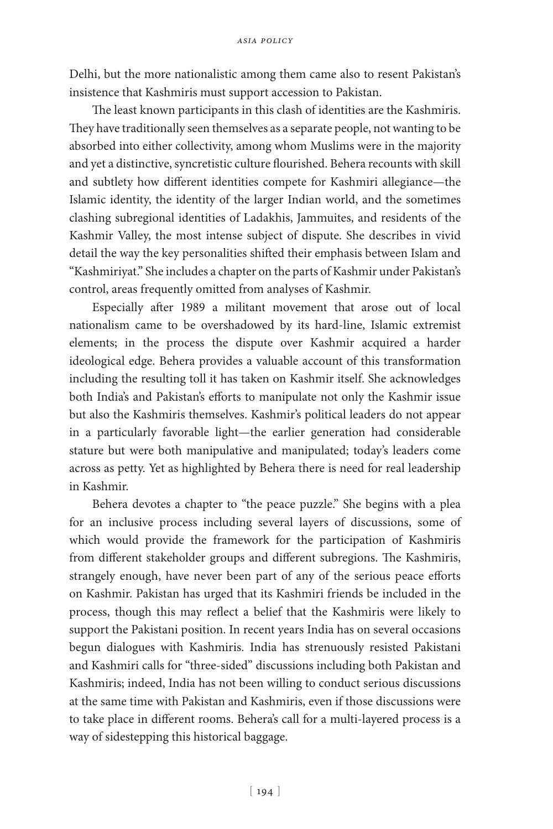Delhi, but the more nationalistic among them came also to resent Pakistan's insistence that Kashmiris must support accession to Pakistan.

The least known participants in this clash of identities are the Kashmiris. They have traditionally seen themselves as a separate people, not wanting to be absorbed into either collectivity, among whom Muslims were in the majority and yet a distinctive, syncretistic culture flourished. Behera recounts with skill and subtlety how different identities compete for Kashmiri allegiance—the Islamic identity, the identity of the larger Indian world, and the sometimes clashing subregional identities of Ladakhis, Jammuites, and residents of the Kashmir Valley, the most intense subject of dispute. She describes in vivid detail the way the key personalities shifted their emphasis between Islam and "Kashmiriyat." She includes a chapter on the parts of Kashmir under Pakistan's control, areas frequently omitted from analyses of Kashmir.

Especially after 1989 a militant movement that arose out of local nationalism came to be overshadowed by its hard-line, Islamic extremist elements; in the process the dispute over Kashmir acquired a harder ideological edge. Behera provides a valuable account of this transformation including the resulting toll it has taken on Kashmir itself. She acknowledges both India's and Pakistan's efforts to manipulate not only the Kashmir issue but also the Kashmiris themselves. Kashmir's political leaders do not appear in a particularly favorable light—the earlier generation had considerable stature but were both manipulative and manipulated; today's leaders come across as petty. Yet as highlighted by Behera there is need for real leadership in Kashmir.

Behera devotes a chapter to "the peace puzzle." She begins with a plea for an inclusive process including several layers of discussions, some of which would provide the framework for the participation of Kashmiris from different stakeholder groups and different subregions. The Kashmiris, strangely enough, have never been part of any of the serious peace efforts on Kashmir. Pakistan has urged that its Kashmiri friends be included in the process, though this may reflect a belief that the Kashmiris were likely to support the Pakistani position. In recent years India has on several occasions begun dialogues with Kashmiris. India has strenuously resisted Pakistani and Kashmiri calls for "three-sided" discussions including both Pakistan and Kashmiris; indeed, India has not been willing to conduct serious discussions at the same time with Pakistan and Kashmiris, even if those discussions were to take place in different rooms. Behera's call for a multi-layered process is a way of sidestepping this historical baggage.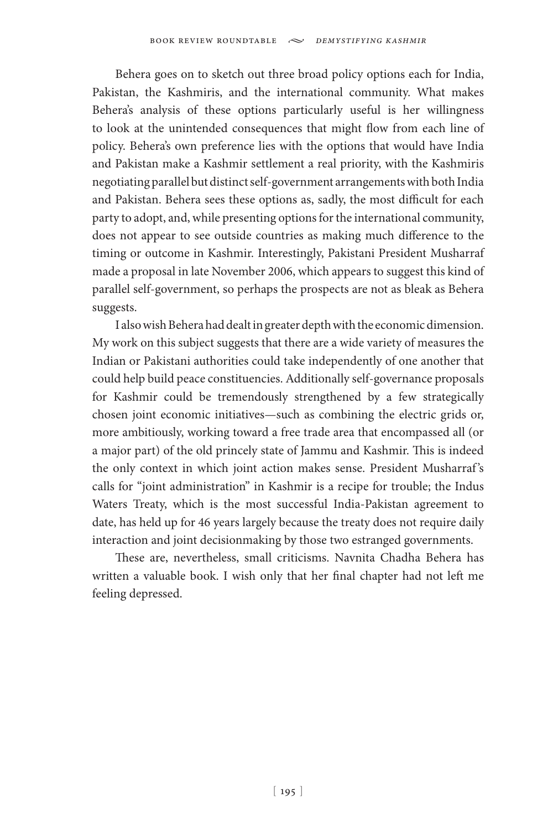Behera goes on to sketch out three broad policy options each for India, Pakistan, the Kashmiris, and the international community. What makes Behera's analysis of these options particularly useful is her willingness to look at the unintended consequences that might flow from each line of policy. Behera's own preference lies with the options that would have India and Pakistan make a Kashmir settlement a real priority, with the Kashmiris negotiating parallel but distinct self-government arrangements with both India and Pakistan. Behera sees these options as, sadly, the most difficult for each party to adopt, and, while presenting options for the international community, does not appear to see outside countries as making much difference to the timing or outcome in Kashmir. Interestingly, Pakistani President Musharraf made a proposal in late November 2006, which appears to suggest this kind of parallel self-government, so perhaps the prospects are not as bleak as Behera suggests.

I also wish Behera had dealt in greater depth with the economic dimension. My work on this subject suggests that there are a wide variety of measures the Indian or Pakistani authorities could take independently of one another that could help build peace constituencies. Additionally self-governance proposals for Kashmir could be tremendously strengthened by a few strategically chosen joint economic initiatives—such as combining the electric grids or, more ambitiously, working toward a free trade area that encompassed all (or a major part) of the old princely state of Jammu and Kashmir. This is indeed the only context in which joint action makes sense. President Musharraf 's calls for "joint administration" in Kashmir is a recipe for trouble; the Indus Waters Treaty, which is the most successful India-Pakistan agreement to date, has held up for 46 years largely because the treaty does not require daily interaction and joint decisionmaking by those two estranged governments.

These are, nevertheless, small criticisms. Navnita Chadha Behera has written a valuable book. I wish only that her final chapter had not left me feeling depressed.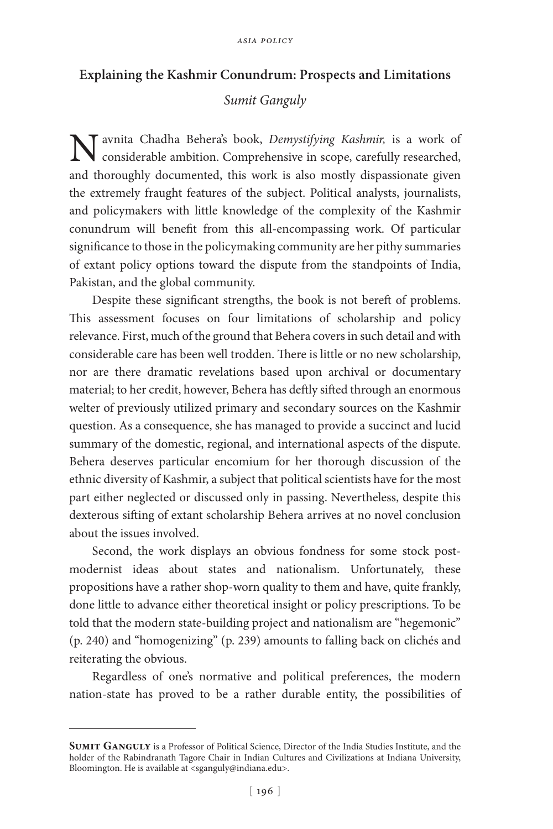## **Explaining the Kashmir Conundrum: Prospects and Limitations**

## *Sumit Ganguly*

Navnita Chadha Behera's book, *Demystifying Kashmir,* is a work of considerable ambition. Comprehensive in scope, carefully researched, and thoroughly documented, this work is also mostly dispassionate given the extremely fraught features of the subject. Political analysts, journalists, and policymakers with little knowledge of the complexity of the Kashmir conundrum will benefit from this all-encompassing work. Of particular significance to those in the policymaking community are her pithy summaries of extant policy options toward the dispute from the standpoints of India, Pakistan, and the global community.

Despite these significant strengths, the book is not bereft of problems. This assessment focuses on four limitations of scholarship and policy relevance. First, much of the ground that Behera covers in such detail and with considerable care has been well trodden. There is little or no new scholarship, nor are there dramatic revelations based upon archival or documentary material; to her credit, however, Behera has deftly sifted through an enormous welter of previously utilized primary and secondary sources on the Kashmir question. As a consequence, she has managed to provide a succinct and lucid summary of the domestic, regional, and international aspects of the dispute. Behera deserves particular encomium for her thorough discussion of the ethnic diversity of Kashmir, a subject that political scientists have for the most part either neglected or discussed only in passing. Nevertheless, despite this dexterous sifting of extant scholarship Behera arrives at no novel conclusion about the issues involved.

Second, the work displays an obvious fondness for some stock postmodernist ideas about states and nationalism. Unfortunately, these propositions have a rather shop-worn quality to them and have, quite frankly, done little to advance either theoretical insight or policy prescriptions. To be told that the modern state-building project and nationalism are "hegemonic" (p. 240) and "homogenizing" (p. 239) amounts to falling back on clichés and reiterating the obvious.

Regardless of one's normative and political preferences, the modern nation-state has proved to be a rather durable entity, the possibilities of

**Sumit Ganguly** is a Professor of Political Science, Director of the India Studies Institute, and the holder of the Rabindranath Tagore Chair in Indian Cultures and Civilizations at Indiana University, Bloomington. He is available at <sganguly@indiana.edu>.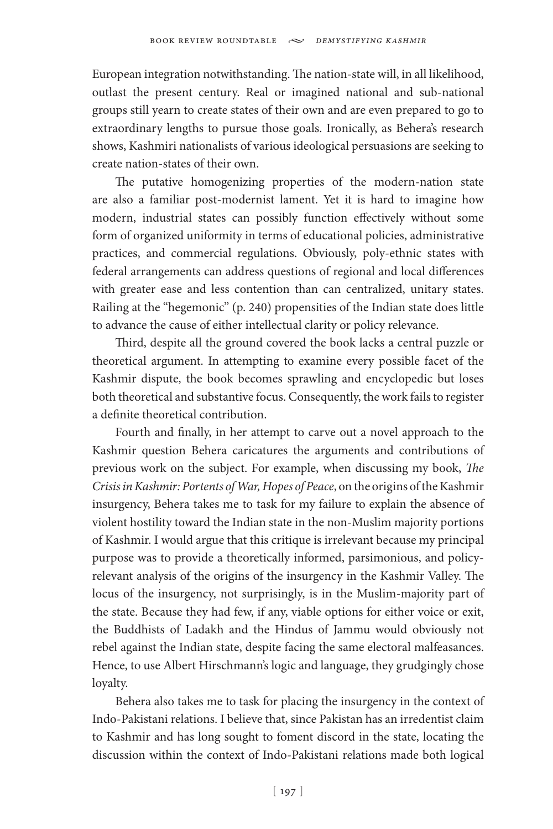European integration notwithstanding. The nation-state will, in all likelihood, outlast the present century. Real or imagined national and sub-national groups still yearn to create states of their own and are even prepared to go to extraordinary lengths to pursue those goals. Ironically, as Behera's research shows, Kashmiri nationalists of various ideological persuasions are seeking to create nation-states of their own.

The putative homogenizing properties of the modern-nation state are also a familiar post-modernist lament. Yet it is hard to imagine how modern, industrial states can possibly function effectively without some form of organized uniformity in terms of educational policies, administrative practices, and commercial regulations. Obviously, poly-ethnic states with federal arrangements can address questions of regional and local differences with greater ease and less contention than can centralized, unitary states. Railing at the "hegemonic" (p. 240) propensities of the Indian state does little to advance the cause of either intellectual clarity or policy relevance.

Third, despite all the ground covered the book lacks a central puzzle or theoretical argument. In attempting to examine every possible facet of the Kashmir dispute, the book becomes sprawling and encyclopedic but loses both theoretical and substantive focus. Consequently, the work fails to register a definite theoretical contribution.

Fourth and finally, in her attempt to carve out a novel approach to the Kashmir question Behera caricatures the arguments and contributions of previous work on the subject. For example, when discussing my book, *The Crisis in Kashmir: Portents of War, Hopes of Peace*, on the origins of the Kashmir insurgency, Behera takes me to task for my failure to explain the absence of violent hostility toward the Indian state in the non-Muslim majority portions of Kashmir. I would argue that this critique is irrelevant because my principal purpose was to provide a theoretically informed, parsimonious, and policyrelevant analysis of the origins of the insurgency in the Kashmir Valley. The locus of the insurgency, not surprisingly, is in the Muslim-majority part of the state. Because they had few, if any, viable options for either voice or exit, the Buddhists of Ladakh and the Hindus of Jammu would obviously not rebel against the Indian state, despite facing the same electoral malfeasances. Hence, to use Albert Hirschmann's logic and language, they grudgingly chose loyalty.

Behera also takes me to task for placing the insurgency in the context of Indo-Pakistani relations. I believe that, since Pakistan has an irredentist claim to Kashmir and has long sought to foment discord in the state, locating the discussion within the context of Indo-Pakistani relations made both logical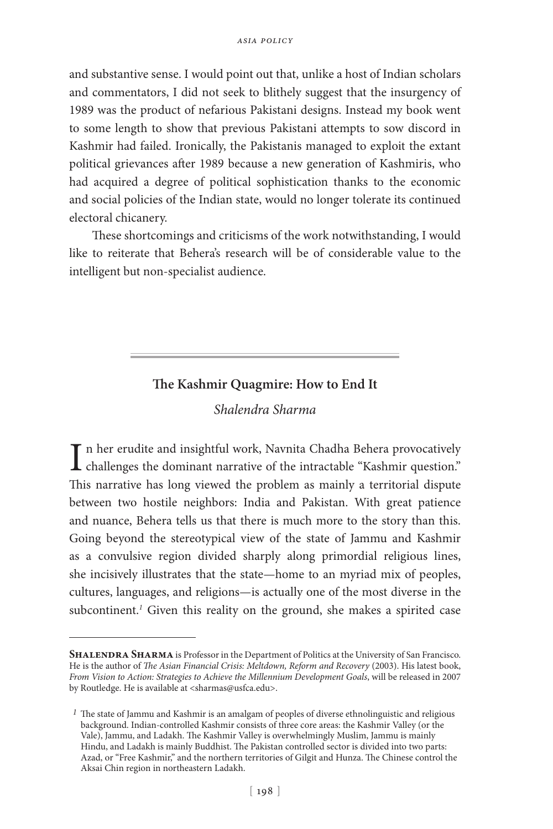and substantive sense. I would point out that, unlike a host of Indian scholars and commentators, I did not seek to blithely suggest that the insurgency of 1989 was the product of nefarious Pakistani designs. Instead my book went to some length to show that previous Pakistani attempts to sow discord in Kashmir had failed. Ironically, the Pakistanis managed to exploit the extant political grievances after 1989 because a new generation of Kashmiris, who had acquired a degree of political sophistication thanks to the economic and social policies of the Indian state, would no longer tolerate its continued electoral chicanery.

These shortcomings and criticisms of the work notwithstanding, I would like to reiterate that Behera's research will be of considerable value to the intelligent but non-specialist audience.

## **The Kashmir Quagmire: How to End It**

# *Shalendra Sharma*

In her erudite and insightful work, Navnita Chadha Behera provocatively<br>challenges the dominant narrative of the intractable "Kashmir question." challenges the dominant narrative of the intractable "Kashmir question." This narrative has long viewed the problem as mainly a territorial dispute between two hostile neighbors: India and Pakistan. With great patience and nuance, Behera tells us that there is much more to the story than this. Going beyond the stereotypical view of the state of Jammu and Kashmir as a convulsive region divided sharply along primordial religious lines, she incisively illustrates that the state—home to an myriad mix of peoples, cultures, languages, and religions—is actually one of the most diverse in the subcontinent. Given this reality on the ground, she makes a spirited case

**SHALENDRA SHARMA** is Professor in the Department of Politics at the University of San Francisco. He is the author of *The Asian Financial Crisis: Meltdown, Reform and Recovery* (2003). His latest book, *From Vision to Action: Strategies to Achieve the Millennium Development Goals*, will be released in 2007 by Routledge. He is available at <sharmas@usfca.edu>.

 $<sup>1</sup>$  The state of Jammu and Kashmir is an amalgam of peoples of diverse ethnolinguistic and religious</sup> background. Indian-controlled Kashmir consists of three core areas: the Kashmir Valley (or the Vale), Jammu, and Ladakh. The Kashmir Valley is overwhelmingly Muslim, Jammu is mainly Hindu, and Ladakh is mainly Buddhist. The Pakistan controlled sector is divided into two parts: Azad, or "Free Kashmir," and the northern territories of Gilgit and Hunza. The Chinese control the Aksai Chin region in northeastern Ladakh.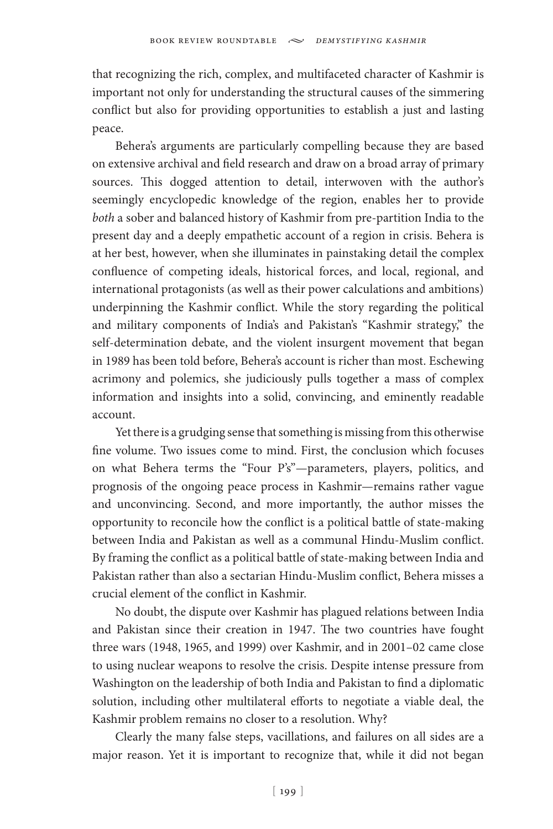that recognizing the rich, complex, and multifaceted character of Kashmir is important not only for understanding the structural causes of the simmering conflict but also for providing opportunities to establish a just and lasting peace.

Behera's arguments are particularly compelling because they are based on extensive archival and field research and draw on a broad array of primary sources. This dogged attention to detail, interwoven with the author's seemingly encyclopedic knowledge of the region, enables her to provide *both* a sober and balanced history of Kashmir from pre-partition India to the present day and a deeply empathetic account of a region in crisis. Behera is at her best, however, when she illuminates in painstaking detail the complex confluence of competing ideals, historical forces, and local, regional, and international protagonists (as well as their power calculations and ambitions) underpinning the Kashmir conflict. While the story regarding the political and military components of India's and Pakistan's "Kashmir strategy," the self-determination debate, and the violent insurgent movement that began in 1989 has been told before, Behera's account is richer than most. Eschewing acrimony and polemics, she judiciously pulls together a mass of complex information and insights into a solid, convincing, and eminently readable account.

Yet there is a grudging sense that something is missing from this otherwise fine volume. Two issues come to mind. First, the conclusion which focuses on what Behera terms the "Four P's"—parameters, players, politics, and prognosis of the ongoing peace process in Kashmir—remains rather vague and unconvincing. Second, and more importantly, the author misses the opportunity to reconcile how the conflict is a political battle of state-making between India and Pakistan as well as a communal Hindu-Muslim conflict. By framing the conflict as a political battle of state-making between India and Pakistan rather than also a sectarian Hindu-Muslim conflict, Behera misses a crucial element of the conflict in Kashmir.

No doubt, the dispute over Kashmir has plagued relations between India and Pakistan since their creation in 1947. The two countries have fought three wars (1948, 1965, and 1999) over Kashmir, and in 2001–02 came close to using nuclear weapons to resolve the crisis. Despite intense pressure from Washington on the leadership of both India and Pakistan to find a diplomatic solution, including other multilateral efforts to negotiate a viable deal, the Kashmir problem remains no closer to a resolution. Why?

Clearly the many false steps, vacillations, and failures on all sides are a major reason. Yet it is important to recognize that, while it did not began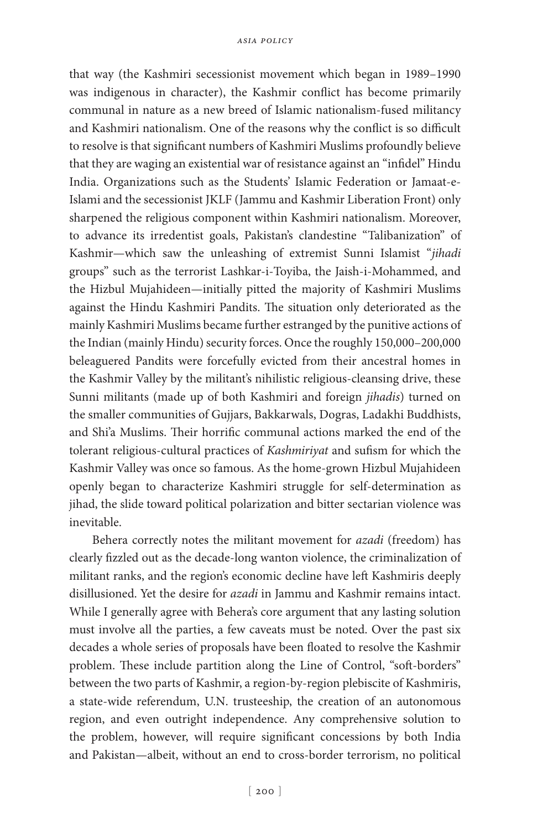that way (the Kashmiri secessionist movement which began in 1989–1990 was indigenous in character), the Kashmir conflict has become primarily communal in nature as a new breed of Islamic nationalism-fused militancy and Kashmiri nationalism. One of the reasons why the conflict is so difficult to resolve is that significant numbers of Kashmiri Muslims profoundly believe that they are waging an existential war of resistance against an "infidel" Hindu India. Organizations such as the Students' Islamic Federation or Jamaat-e-Islami and the secessionist JKLF (Jammu and Kashmir Liberation Front) only sharpened the religious component within Kashmiri nationalism. Moreover, to advance its irredentist goals, Pakistan's clandestine "Talibanization" of Kashmir—which saw the unleashing of extremist Sunni Islamist "*jihadi* groups" such as the terrorist Lashkar-i-Toyiba, the Jaish-i-Mohammed, and the Hizbul Mujahideen—initially pitted the majority of Kashmiri Muslims against the Hindu Kashmiri Pandits. The situation only deteriorated as the mainly Kashmiri Muslims became further estranged by the punitive actions of the Indian (mainly Hindu) security forces. Once the roughly 150,000–200,000 beleaguered Pandits were forcefully evicted from their ancestral homes in the Kashmir Valley by the militant's nihilistic religious-cleansing drive, these Sunni militants (made up of both Kashmiri and foreign *jihadis*) turned on the smaller communities of Gujjars, Bakkarwals, Dogras, Ladakhi Buddhists, and Shi'a Muslims. Their horrific communal actions marked the end of the tolerant religious-cultural practices of *Kashmiriyat* and sufism for which the Kashmir Valley was once so famous. As the home-grown Hizbul Mujahideen openly began to characterize Kashmiri struggle for self-determination as jihad, the slide toward political polarization and bitter sectarian violence was inevitable.

Behera correctly notes the militant movement for *azadi* (freedom) has clearly fizzled out as the decade-long wanton violence, the criminalization of militant ranks, and the region's economic decline have left Kashmiris deeply disillusioned. Yet the desire for *azadi* in Jammu and Kashmir remains intact. While I generally agree with Behera's core argument that any lasting solution must involve all the parties, a few caveats must be noted. Over the past six decades a whole series of proposals have been floated to resolve the Kashmir problem. These include partition along the Line of Control, "soft-borders" between the two parts of Kashmir, a region-by-region plebiscite of Kashmiris, a state-wide referendum, U.N. trusteeship, the creation of an autonomous region, and even outright independence. Any comprehensive solution to the problem, however, will require significant concessions by both India and Pakistan—albeit, without an end to cross-border terrorism, no political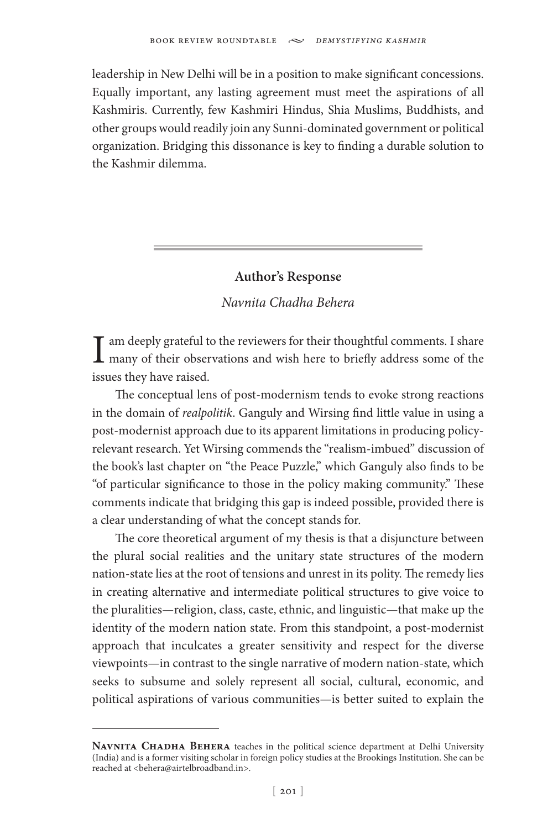leadership in New Delhi will be in a position to make significant concessions. Equally important, any lasting agreement must meet the aspirations of all Kashmiris. Currently, few Kashmiri Hindus, Shia Muslims, Buddhists, and other groups would readily join any Sunni-dominated government or political organization. Bridging this dissonance is key to finding a durable solution to the Kashmir dilemma.

#### **Author's Response**

# *Navnita Chadha Behera*

I am deeply grateful to the reviewers for their thoughtful comments. I share many of their observations and wish here to briefly address some of the issues they have raised.

The conceptual lens of post-modernism tends to evoke strong reactions in the domain of *realpolitik*. Ganguly and Wirsing find little value in using a post-modernist approach due to its apparent limitations in producing policyrelevant research. Yet Wirsing commends the "realism-imbued" discussion of the book's last chapter on "the Peace Puzzle," which Ganguly also finds to be "of particular significance to those in the policy making community." These comments indicate that bridging this gap is indeed possible, provided there is a clear understanding of what the concept stands for.

The core theoretical argument of my thesis is that a disjuncture between the plural social realities and the unitary state structures of the modern nation-state lies at the root of tensions and unrest in its polity. The remedy lies in creating alternative and intermediate political structures to give voice to the pluralities—religion, class, caste, ethnic, and linguistic—that make up the identity of the modern nation state. From this standpoint, a post-modernist approach that inculcates a greater sensitivity and respect for the diverse viewpoints—in contrast to the single narrative of modern nation-state, which seeks to subsume and solely represent all social, cultural, economic, and political aspirations of various communities—is better suited to explain the

**NAVNITA CHADHA BEHERA** teaches in the political science department at Delhi University (India) and is a former visiting scholar in foreign policy studies at the Brookings Institution. She can be reached at <behera@airtelbroadband.in>.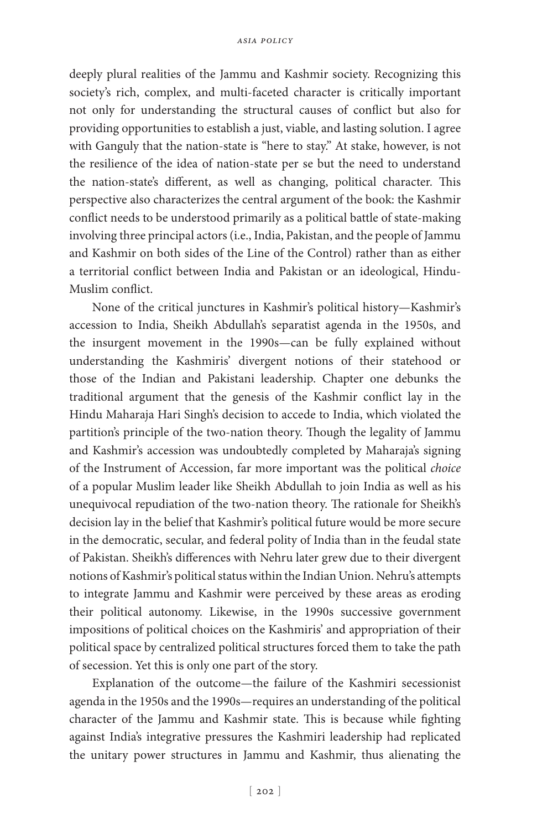deeply plural realities of the Jammu and Kashmir society. Recognizing this society's rich, complex, and multi-faceted character is critically important not only for understanding the structural causes of conflict but also for providing opportunities to establish a just, viable, and lasting solution. I agree with Ganguly that the nation-state is "here to stay." At stake, however, is not the resilience of the idea of nation-state per se but the need to understand the nation-state's different, as well as changing, political character. This perspective also characterizes the central argument of the book: the Kashmir conflict needs to be understood primarily as a political battle of state-making involving three principal actors (i.e., India, Pakistan, and the people of Jammu and Kashmir on both sides of the Line of the Control) rather than as either a territorial conflict between India and Pakistan or an ideological, Hindu-Muslim conflict.

None of the critical junctures in Kashmir's political history—Kashmir's accession to India, Sheikh Abdullah's separatist agenda in the 1950s, and the insurgent movement in the 1990s—can be fully explained without understanding the Kashmiris' divergent notions of their statehood or those of the Indian and Pakistani leadership. Chapter one debunks the traditional argument that the genesis of the Kashmir conflict lay in the Hindu Maharaja Hari Singh's decision to accede to India, which violated the partition's principle of the two-nation theory. Though the legality of Jammu and Kashmir's accession was undoubtedly completed by Maharaja's signing of the Instrument of Accession, far more important was the political *choice* of a popular Muslim leader like Sheikh Abdullah to join India as well as his unequivocal repudiation of the two-nation theory. The rationale for Sheikh's decision lay in the belief that Kashmir's political future would be more secure in the democratic, secular, and federal polity of India than in the feudal state of Pakistan. Sheikh's differences with Nehru later grew due to their divergent notions of Kashmir's political status within the Indian Union. Nehru's attempts to integrate Jammu and Kashmir were perceived by these areas as eroding their political autonomy. Likewise, in the 1990s successive government impositions of political choices on the Kashmiris' and appropriation of their political space by centralized political structures forced them to take the path of secession. Yet this is only one part of the story.

Explanation of the outcome—the failure of the Kashmiri secessionist agenda in the 1950s and the 1990s—requires an understanding of the political character of the Jammu and Kashmir state. This is because while fighting against India's integrative pressures the Kashmiri leadership had replicated the unitary power structures in Jammu and Kashmir, thus alienating the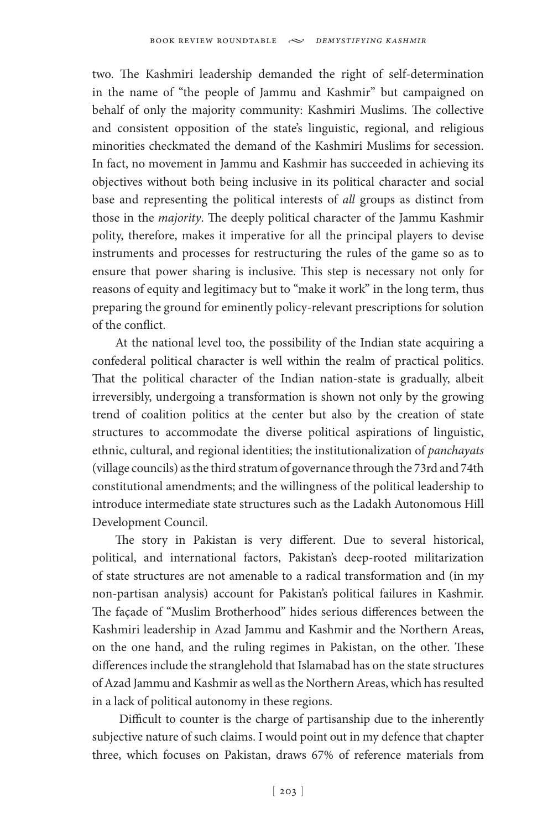two. The Kashmiri leadership demanded the right of self-determination in the name of "the people of Jammu and Kashmir" but campaigned on behalf of only the majority community: Kashmiri Muslims. The collective and consistent opposition of the state's linguistic, regional, and religious minorities checkmated the demand of the Kashmiri Muslims for secession. In fact, no movement in Jammu and Kashmir has succeeded in achieving its objectives without both being inclusive in its political character and social base and representing the political interests of *all* groups as distinct from those in the *majority*. The deeply political character of the Jammu Kashmir polity, therefore, makes it imperative for all the principal players to devise instruments and processes for restructuring the rules of the game so as to ensure that power sharing is inclusive. This step is necessary not only for reasons of equity and legitimacy but to "make it work" in the long term, thus preparing the ground for eminently policy-relevant prescriptions for solution of the conflict.

At the national level too, the possibility of the Indian state acquiring a confederal political character is well within the realm of practical politics. That the political character of the Indian nation-state is gradually, albeit irreversibly, undergoing a transformation is shown not only by the growing trend of coalition politics at the center but also by the creation of state structures to accommodate the diverse political aspirations of linguistic, ethnic, cultural, and regional identities; the institutionalization of *panchayats* (village councils) as the third stratum of governance through the 73rd and 74th constitutional amendments; and the willingness of the political leadership to introduce intermediate state structures such as the Ladakh Autonomous Hill Development Council.

The story in Pakistan is very different. Due to several historical, political, and international factors, Pakistan's deep-rooted militarization of state structures are not amenable to a radical transformation and (in my non-partisan analysis) account for Pakistan's political failures in Kashmir. The façade of "Muslim Brotherhood" hides serious differences between the Kashmiri leadership in Azad Jammu and Kashmir and the Northern Areas, on the one hand, and the ruling regimes in Pakistan, on the other. These differences include the stranglehold that Islamabad has on the state structures of Azad Jammu and Kashmir as well as the Northern Areas, which has resulted in a lack of political autonomy in these regions.

 Difficult to counter is the charge of partisanship due to the inherently subjective nature of such claims. I would point out in my defence that chapter three, which focuses on Pakistan, draws 67% of reference materials from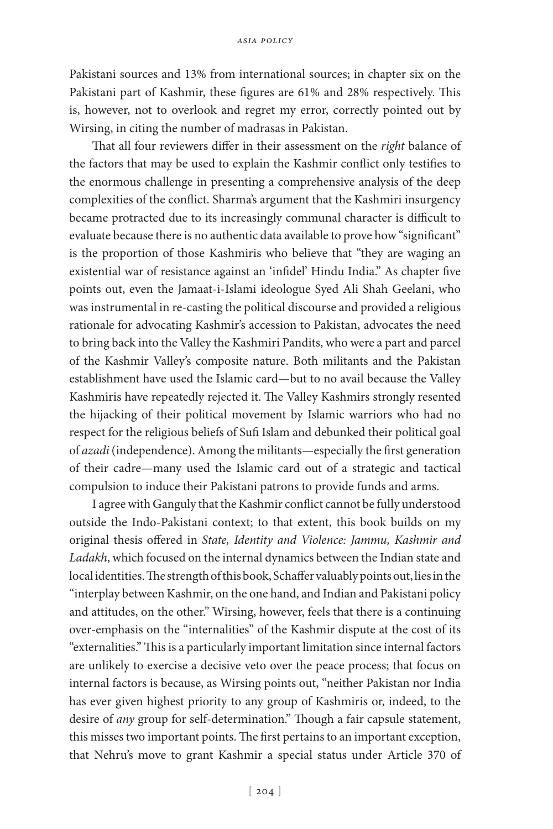Pakistani sources and 13% from international sources; in chapter six on the Pakistani part of Kashmir, these figures are 61% and 28% respectively. This is, however, not to overlook and regret my error, correctly pointed out by Wirsing, in citing the number of madrasas in Pakistan.

That all four reviewers differ in their assessment on the *right* balance of the factors that may be used to explain the Kashmir conflict only testifies to the enormous challenge in presenting a comprehensive analysis of the deep complexities of the conflict. Sharma's argument that the Kashmiri insurgency became protracted due to its increasingly communal character is difficult to evaluate because there is no authentic data available to prove how "significant" is the proportion of those Kashmiris who believe that "they are waging an existential war of resistance against an 'infidel' Hindu India." As chapter five points out, even the Jamaat-i-Islami ideologue Syed Ali Shah Geelani, who was instrumental in re-casting the political discourse and provided a religious rationale for advocating Kashmir's accession to Pakistan, advocates the need to bring back into the Valley the Kashmiri Pandits, who were a part and parcel of the Kashmir Valley's composite nature. Both militants and the Pakistan establishment have used the Islamic card—but to no avail because the Valley Kashmiris have repeatedly rejected it. The Valley Kashmirs strongly resented the hijacking of their political movement by Islamic warriors who had no respect for the religious beliefs of Sufi Islam and debunked their political goal of *azadi* (independence). Among the militants—especially the first generation of their cadre—many used the Islamic card out of a strategic and tactical compulsion to induce their Pakistani patrons to provide funds and arms.

I agree with Ganguly that the Kashmir conflict cannot be fully understood outside the Indo-Pakistani context; to that extent, this book builds on my original thesis offered in *State, Identity and Violence: Jammu, Kashmir and Ladakh*, which focused on the internal dynamics between the Indian state and local identities. The strength of this book, Schaffer valuably points out, lies in the "interplay between Kashmir, on the one hand, and Indian and Pakistani policy and attitudes, on the other." Wirsing, however, feels that there is a continuing over-emphasis on the "internalities" of the Kashmir dispute at the cost of its "externalities." This is a particularly important limitation since internal factors are unlikely to exercise a decisive veto over the peace process; that focus on internal factors is because, as Wirsing points out, "neither Pakistan nor India has ever given highest priority to any group of Kashmiris or, indeed, to the desire of *any* group for self-determination." Though a fair capsule statement, this misses two important points. The first pertains to an important exception, that Nehru's move to grant Kashmir a special status under Article 370 of